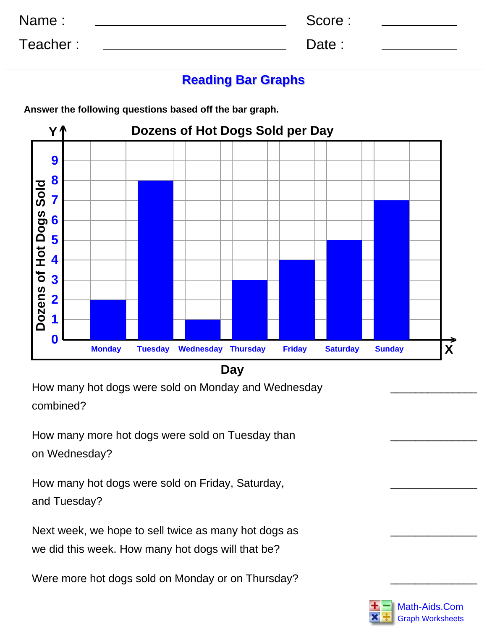| Name:    | Score: |  |
|----------|--------|--|
| Teacher: | Date:  |  |

## **Reading Bar Graphs**

**Dozens of Hot Dogs Sold per Day Y^ 9 8** Dozens of Hot Dogs Sold **Dozens of Hot Dogs Sold 7 6 5 4 3 2 1 0 > Monday Tuesday Wednesday Thursday Friday Saturday Sunday X**

**Answer the following questions based off the bar graph.**

**Day**

How many hot dogs were sold on Monday and Wednesday combined?

How many more hot dogs were sold on Tuesday than on Wednesday?

How many hot dogs were sold on Friday, Saturday, and Tuesday?

Next week, we hope to sell twice as many hot dogs as we did this week. How many hot dogs will that be?

Were more hot dogs sold on Monday or on Thursday?



\_\_\_\_\_\_\_\_\_\_\_\_\_\_

\_\_\_\_\_\_\_\_\_\_\_\_\_\_

\_\_\_\_\_\_\_\_\_\_\_\_\_\_

\_\_\_\_\_\_\_\_\_\_\_\_\_\_